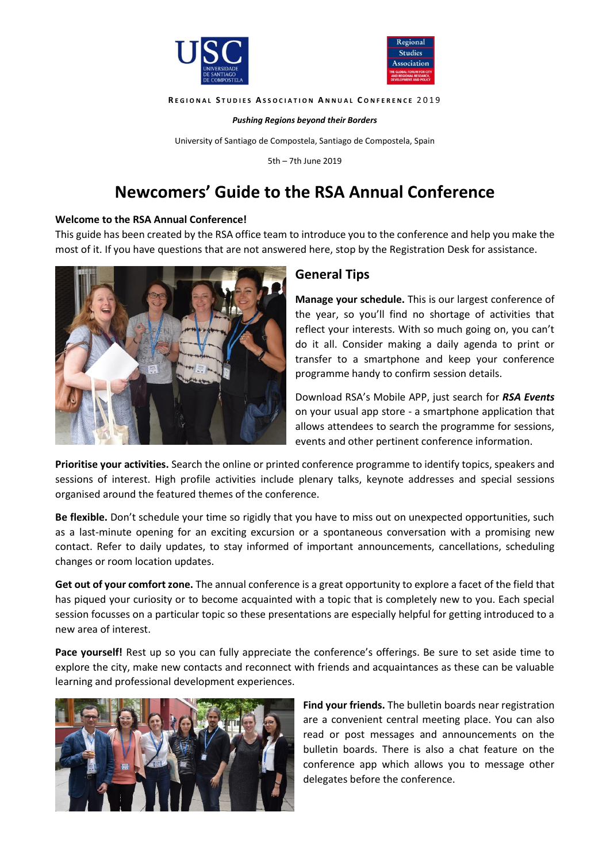



#### **R E G I O N A L S T U D I E S A S S O C I A T I O N A N N U A L C O N F E R E N C E** 2 0 1 9

*Pushing Regions beyond their Borders*

University of Santiago de Compostela, Santiago de Compostela, Spain

5th – 7th June 2019

# **Newcomers' Guide to the RSA Annual Conference**

#### **Welcome to the RSA Annual Conference!**

This guide has been created by the RSA office team to introduce you to the conference and help you make the most of it. If you have questions that are not answered here, stop by the Registration Desk for assistance.



#### **General Tips**

**Manage your schedule.** This is our largest conference of the year, so you'll find no shortage of activities that reflect your interests. With so much going on, you can't do it all. Consider making a daily agenda to print or transfer to a smartphone and keep your conference programme handy to confirm session details.

Download RSA's Mobile APP, just search for *RSA Events* on your usual app store - a smartphone application that allows attendees to search the programme for sessions, events and other pertinent conference information.

**Prioritise your activities.** Search the online or printed conference programme to identify topics, speakers and sessions of interest. High profile activities include plenary talks, keynote addresses and special sessions organised around the featured themes of the conference.

**Be flexible.** Don't schedule your time so rigidly that you have to miss out on unexpected opportunities, such as a last-minute opening for an exciting excursion or a spontaneous conversation with a promising new contact. Refer to daily updates, to stay informed of important announcements, cancellations, scheduling changes or room location updates.

**Get out of your comfort zone.** The annual conference is a great opportunity to explore a facet of the field that has piqued your curiosity or to become acquainted with a topic that is completely new to you. Each special session focusses on a particular topic so these presentations are especially helpful for getting introduced to a new area of interest.

**Pace yourself!** Rest up so you can fully appreciate the conference's offerings. Be sure to set aside time to explore the city, make new contacts and reconnect with friends and acquaintances as these can be valuable learning and professional development experiences.



**Find your friends.** The bulletin boards near registration are a convenient central meeting place. You can also read or post messages and announcements on the bulletin boards. There is also a chat feature on the conference app which allows you to message other delegates before the conference.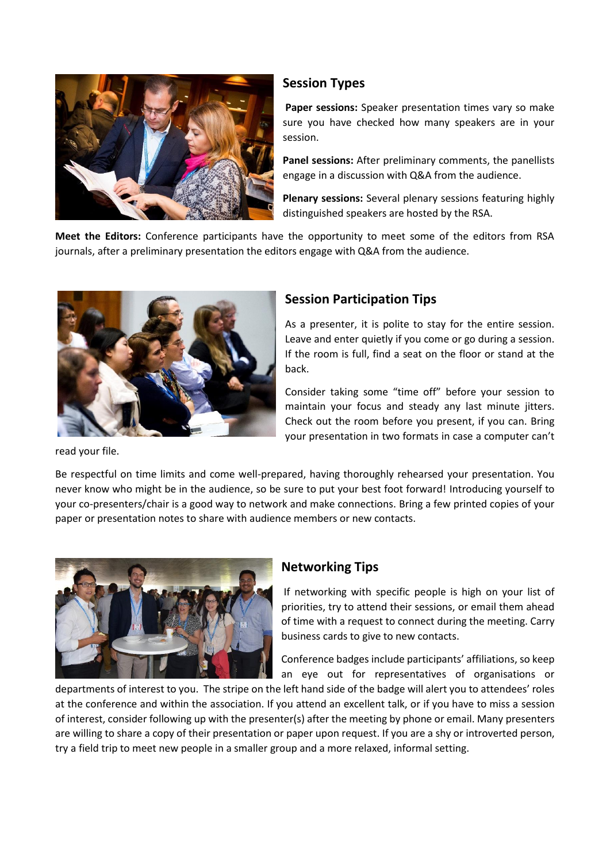

#### **Session Types**

**Paper sessions:** Speaker presentation times vary so make sure you have checked how many speakers are in your session.

**Panel sessions:** After preliminary comments, the panellists engage in a discussion with Q&A from the audience.

**Plenary sessions:** Several plenary sessions featuring highly distinguished speakers are hosted by the RSA.

**Meet the Editors:** Conference participants have the opportunity to meet some of the editors from RSA journals, after a preliminary presentation the editors engage with Q&A from the audience.



### **Session Participation Tips**

As a presenter, it is polite to stay for the entire session. Leave and enter quietly if you come or go during a session. If the room is full, find a seat on the floor or stand at the back.

Consider taking some "time off" before your session to maintain your focus and steady any last minute jitters. Check out the room before you present, if you can. Bring your presentation in two formats in case a computer can't

read your file.

Be respectful on time limits and come well-prepared, having thoroughly rehearsed your presentation. You never know who might be in the audience, so be sure to put your best foot forward! Introducing yourself to your co-presenters/chair is a good way to network and make connections. Bring a few printed copies of your paper or presentation notes to share with audience members or new contacts.



#### **Networking Tips**

If networking with specific people is high on your list of priorities, try to attend their sessions, or email them ahead of time with a request to connect during the meeting. Carry business cards to give to new contacts.

Conference badges include participants' affiliations, so keep an eye out for representatives of organisations or

departments of interest to you. The stripe on the left hand side of the badge will alert you to attendees' roles at the conference and within the association. If you attend an excellent talk, or if you have to miss a session of interest, consider following up with the presenter(s) after the meeting by phone or email. Many presenters are willing to share a copy of their presentation or paper upon request. If you are a shy or introverted person, try a field trip to meet new people in a smaller group and a more relaxed, informal setting.